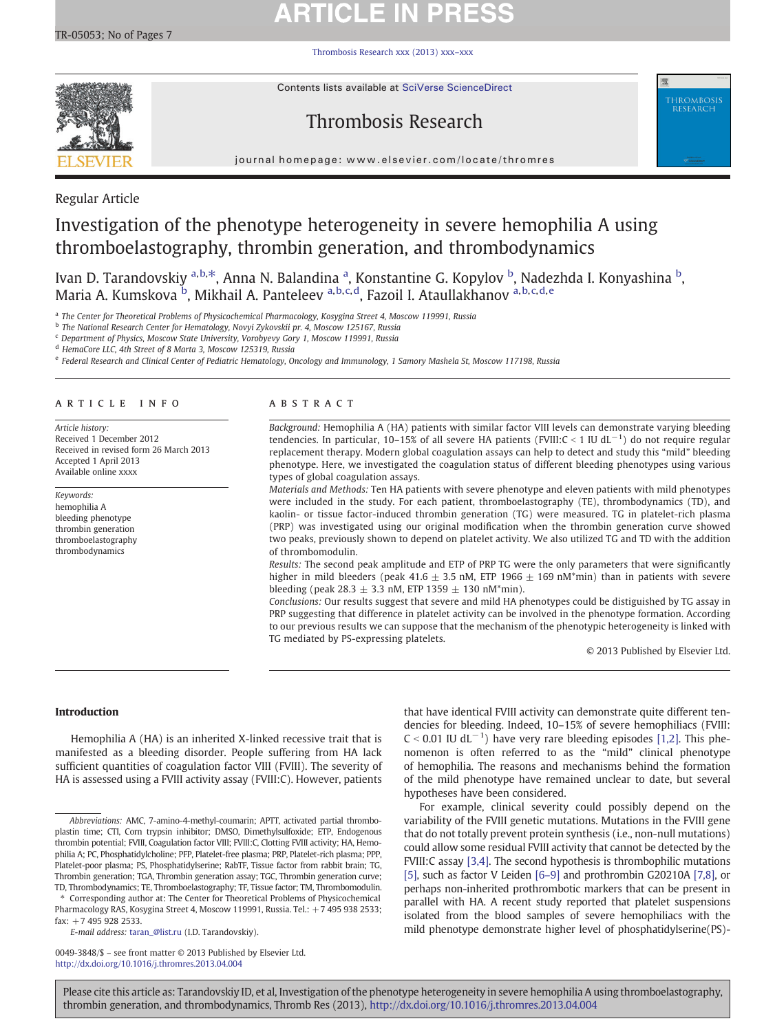# **ARTICLE IN PRESS**

[Thrombosis Research xxx \(2013\) xxx](http://dx.doi.org/10.1016/j.thromres.2013.04.004)–xxx



Contents lists available at SciVerse ScienceDirect

# Thrombosis Research



journal homepage: www.elsevier.com/locate/thromres

# Regular Article

# Investigation of the phenotype heterogeneity in severe hemophilia A using thromboelastography, thrombin generation, and thrombodynamics

Ivan D. Tarandovskiy <sup>a,b, $\ast$ </sup>, Anna N. Balandina <sup>a</sup>, Konstantine G. Kopylov <sup>b</sup>, Nadezhda I. Konyashina <sup>b</sup>, Maria A. Kumskova <sup>b</sup>, Mikhail A. Panteleev <sup>a,b,c,d</sup>, Fazoil I. Ataullakhanov <sup>a,b,c,d,e</sup>

a The Center for Theoretical Problems of Physicochemical Pharmacology, Kosygina Street 4, Moscow 119991, Russia

<sup>b</sup> The National Research Center for Hematology, Novyi Zykovskii pr. 4, Moscow 125167, Russia

<sup>c</sup> Department of Physics, Moscow State University, Vorobyevy Gory 1, Moscow 119991, Russia

<sup>d</sup> HemaCore LLC, 4th Street of 8 Marta 3, Moscow 125319, Russia

<sup>e</sup> Federal Research and Clinical Center of Pediatric Hematology, Oncology and Immunology, 1 Samory Mashela St, Moscow 117198, Russia

### article info abstract

Article history: Received 1 December 2012 Received in revised form 26 March 2013 Accepted 1 April 2013 Available online xxxx

Keywords: hemophilia A bleeding phenotype thrombin generation thromboelastography thrombodynamics

Background: Hemophilia A (HA) patients with similar factor VIII levels can demonstrate varying bleeding tendencies. In particular, 10–15% of all severe HA patients (FVIII:C < 1 IU dL<sup>−1</sup>) do not require regular replacement therapy. Modern global coagulation assays can help to detect and study this "mild" bleeding phenotype. Here, we investigated the coagulation status of different bleeding phenotypes using various types of global coagulation assays.

Materials and Methods: Ten HA patients with severe phenotype and eleven patients with mild phenotypes were included in the study. For each patient, thromboelastography (TE), thrombodynamics (TD), and kaolin- or tissue factor-induced thrombin generation (TG) were measured. TG in platelet-rich plasma (PRP) was investigated using our original modification when the thrombin generation curve showed two peaks, previously shown to depend on platelet activity. We also utilized TG and TD with the addition of thrombomodulin.

Results: The second peak amplitude and ETP of PRP TG were the only parameters that were significantly higher in mild bleeders (peak 41.6  $\pm$  3.5 nM, ETP 1966  $\pm$  169 nM\*min) than in patients with severe bleeding (peak 28.3  $\pm$  3.3 nM, ETP 1359  $\pm$  130 nM\*min).

Conclusions: Our results suggest that severe and mild HA phenotypes could be distiguished by TG assay in PRP suggesting that difference in platelet activity can be involved in the phenotype formation. According to our previous results we can suppose that the mechanism of the phenotypic heterogeneity is linked with TG mediated by PS-expressing platelets.

© 2013 Published by Elsevier Ltd.

### Introduction

Hemophilia A (HA) is an inherited X-linked recessive trait that is manifested as a bleeding disorder. People suffering from HA lack sufficient quantities of coagulation factor VIII (FVIII). The severity of HA is assessed using a FVIII activity assay (FVIII:С). However, patients

⁎ Corresponding author at: The Center for Theoretical Problems of Physicochemical Pharmacology RAS, Kosygina Street 4, Moscow 119991, Russia. Tel.: +7 495 938 2533;

fax: +7 495 928 2533.

E-mail address: [taran\\_@list.ru](mailto:taran_@list.ru) (I.D. Tarandovskiy).

0049-3848/\$ – see front matter © 2013 Published by Elsevier Ltd. <http://dx.doi.org/10.1016/j.thromres.2013.04.004>

that have identical FVIII activity can demonstrate quite different tendencies for bleeding. Indeed, 10–15% of severe hemophiliacs (FVIII:  $C < 0.01$  IU dL<sup>-1</sup>) have very rare bleeding episodes [\[1,2\].](#page-5-0) This phenomenon is often referred to as the "mild" clinical phenotype of hemophilia. The reasons and mechanisms behind the formation of the mild phenotype have remained unclear to date, but several hypotheses have been considered.

For example, clinical severity could possibly depend on the variability of the FVIII genetic mutations. Mutations in the FVIII gene that do not totally prevent protein synthesis (i.e., non-null mutations) could allow some residual FVIII activity that cannot be detected by the FVIII:C assay [\[3,4\].](#page-5-0) The second hypothesis is thrombophilic mutations [\[5\]](#page-5-0), such as factor V Leiden [\[6](#page-5-0)–9] and prothrombin G20210A [\[7,8\]](#page-5-0), or perhaps non-inherited prothrombotic markers that can be present in parallel with HA. A recent study reported that platelet suspensions isolated from the blood samples of severe hemophiliacs with the mild phenotype demonstrate higher level of phosphatidylserine(PS)-

Abbreviations: AMC, 7-amino-4-methyl-coumarin; APTT, activated partial thromboplastin time; CTI, Corn trypsin inhibitor; DMSO, Dimethylsulfoxide; ETP, Endogenous thrombin potential; FVIII, Coagulation factor VIII; FVIII:C, Clotting FVIII activity; HA, Hemophilia A; PC, Phosphatidylcholine; PFP, Platelet-free plasma; PRP, Platelet-rich plasma; PPP, Platelet-poor plasma; PS, Phosphatidylserine; RabTF, Tissue factor from rabbit brain; TG, Thrombin generation; TGA, Thrombin generation assay; TGC, Thrombin generation curve; TD, Thrombodynamics; TE, Thromboelastography; TF, Tissue factor; TM, Thrombomodulin.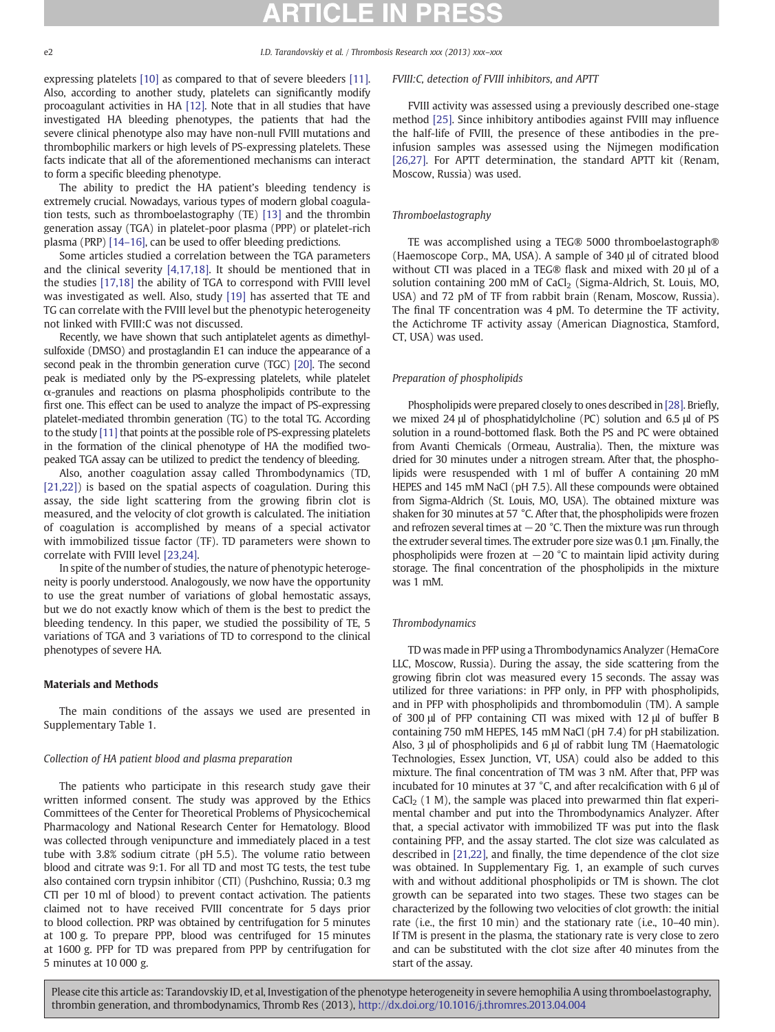e2 I.D. Tarandovskiy et al. / Thrombosis Research xxx (2013) xxx–xxx

expressing platelets [\[10\]](#page-5-0) as compared to that of severe bleeders [\[11\].](#page-5-0) Also, according to another study, platelets can significantly modify procoagulant activities in HA [\[12\]](#page-5-0). Note that in all studies that have investigated HA bleeding phenotypes, the patients that had the severe clinical phenotype also may have non-null FVIII mutations and thrombophilic markers or high levels of PS-expressing platelets. These facts indicate that all of the aforementioned mechanisms can interact to form a specific bleeding phenotype.

The ability to predict the HA patient's bleeding tendency is extremely crucial. Nowadays, various types of modern global coagulation tests, such as thromboelastography (TE) [\[13\]](#page-5-0) and the thrombin generation assay (TGA) in platelet-poor plasma (PPP) or platelet-rich plasma (PRP) [14–[16\],](#page-5-0) can be used to offer bleeding predictions.

Some articles studied a correlation between the TGA parameters and the clinical severity [\[4,17,18\].](#page-5-0) It should be mentioned that in the studies [\[17,18\]](#page-5-0) the ability of TGA to correspond with FVIII level was investigated as well. Also, study [\[19\]](#page-5-0) has asserted that TE and TG can correlate with the FVIII level but the phenotypic heterogeneity not linked with FVIII:C was not discussed.

Recently, we have shown that such antiplatelet agents as dimethylsulfoxide (DMSO) and prostaglandin E1 can induce the appearance of a second peak in the thrombin generation curve (TGC) [\[20\]](#page-5-0). The second peak is mediated only by the PS-expressing platelets, while platelet  $\alpha$ -granules and reactions on plasma phospholipids contribute to the first one. This effect can be used to analyze the impact of PS-expressing platelet-mediated thrombin generation (TG) to the total TG. According to the study [\[11\]](#page-5-0) that points at the possible role of PS-expressing platelets in the formation of the clinical phenotype of HA the modified twopeaked TGA assay can be utilized to predict the tendency of bleeding.

Also, another coagulation assay called Thrombodynamics (TD, [\[21,22\]](#page-5-0)) is based on the spatial aspects of coagulation. During this assay, the side light scattering from the growing fibrin clot is measured, and the velocity of clot growth is calculated. The initiation of coagulation is accomplished by means of a special activator with immobilized tissue factor (TF). TD parameters were shown to correlate with FVIII level [\[23,24\].](#page-6-0)

In spite of the number of studies, the nature of phenotypic heterogeneity is poorly understood. Analogously, we now have the opportunity to use the great number of variations of global hemostatic assays, but we do not exactly know which of them is the best to predict the bleeding tendency. In this paper, we studied the possibility of TE, 5 variations of TGA and 3 variations of TD to correspond to the clinical phenotypes of severe HA.

# Materials and Methods

The main conditions of the assays we used are presented in Supplementary Table 1.

# Collection of HA patient blood and plasma preparation

The patients who participate in this research study gave their written informed consent. The study was approved by the Ethics Committees of the Center for Theoretical Problems of Physicochemical Pharmacology and National Research Center for Hematology. Blood was collected through venipuncture and immediately placed in a test tube with 3.8% sodium citrate (pH 5.5). The volume ratio between blood and citrate was 9:1. For all TD and most TG tests, the test tube also contained corn trypsin inhibitor (CTI) (Pushchino, Russia; 0.3 mg CTI per 10 ml of blood) to prevent contact activation. The patients claimed not to have received FVIII concentrate for 5 days prior to blood collection. PRP was obtained by centrifugation for 5 minutes at 100 g. To prepare PPP, blood was centrifuged for 15 minutes at 1600 g. PFP for TD was prepared from PPP by centrifugation for 5 minutes at 10 000 g.

# FVIII:C, detection of FVIII inhibitors, and APTT

FVIII activity was assessed using a previously described one-stage method [\[25\]](#page-6-0). Since inhibitory antibodies against FVIII may influence the half-life of FVIII, the presence of these antibodies in the preinfusion samples was assessed using the Nijmegen modification [\[26,27\]](#page-6-0). For APTT determination, the standard APTT kit (Renam, Moscow, Russia) was used.

# Thromboelastography

TE was accomplished using a TEG® 5000 thromboelastograph® (Haemoscope Corp., MA, USA). A sample of 340 μl of citrated blood without CTI was placed in a TEG® flask and mixed with 20 μl of a solution containing 200 mM of  $CaCl<sub>2</sub>$  (Sigma-Aldrich, St. Louis, MO, USA) and 72 рМ of TF from rabbit brain (Renam, Moscow, Russia). The final TF concentration was 4 pM. To determine the TF activity, the Actichrome TF activity assay (American Diagnostica, Stamford, CT, USA) was used.

# Preparation of phospholipids

Phospholipids were prepared closely to ones described in [\[28\]](#page-6-0). Briefly, we mixed 24 μl of phosphatidylcholine (PC) solution and 6.5 μl of PS solution in a round-bottomed flask. Both the PS and PC were obtained from Avanti Chemicals (Ormeau, Australia). Then, the mixture was dried for 30 minutes under a nitrogen stream. After that, the phospholipids were resuspended with 1 ml of buffer A containing 20 mM HEPES and 145 mM NaCl (pH 7.5). All these compounds were obtained from Sigma-Aldrich (St. Louis, MO, USA). The obtained mixture was shaken for 30 minutes at 57 °C. After that, the phospholipids were frozen and refrozen several times at  $-20$  °C. Then the mixture was run through the extruder several times. The extruder pore size was 0.1 μm. Finally, the phospholipids were frozen at  $-20$  °C to maintain lipid activity during storage. The final concentration of the phospholipids in the mixture was 1 mM.

# Thrombodynamics

TD was made in PFP using a Thrombodynamics Analyzer (HemaCore LLC, Moscow, Russia). During the assay, the side scattering from the growing fibrin clot was measured every 15 seconds. The assay was utilized for three variations: in PFP only, in PFP with phospholipids, and in PFP with phospholipids and thrombomodulin (TM). A sample of 300 μl of PFP containing CTI was mixed with 12 μl of buffer B containing 750 mM HEPES, 145 mM NaCl (pH 7.4) for pH stabilization. Also, 3 μl of phospholipids and 6 μl of rabbit lung TM (Haematologic Technologies, Essex Junction, VT, USA) could also be added to this mixture. The final concentration of TM was 3 nM. After that, PFP was incubated for 10 minutes at 37 °C, and after recalcification with 6 μl of  $CaCl<sub>2</sub>$  (1 M), the sample was placed into prewarmed thin flat experimental chamber and put into the Thrombodynamics Analyzer. After that, a special activator with immobilized TF was put into the flask containing PFP, and the assay started. The clot size was calculated as described in [\[21,22\]](#page-5-0), and finally, the time dependence of the clot size was obtained. In Supplementary Fig. 1, an example of such curves with and without additional phospholipids or TM is shown. The clot growth can be separated into two stages. These two stages can be characterized by the following two velocities of clot growth: the initial rate (i.e., the first 10 min) and the stationary rate (i.e., 10–40 min). If TM is present in the plasma, the stationary rate is very close to zero and can be substituted with the clot size after 40 minutes from the start of the assay.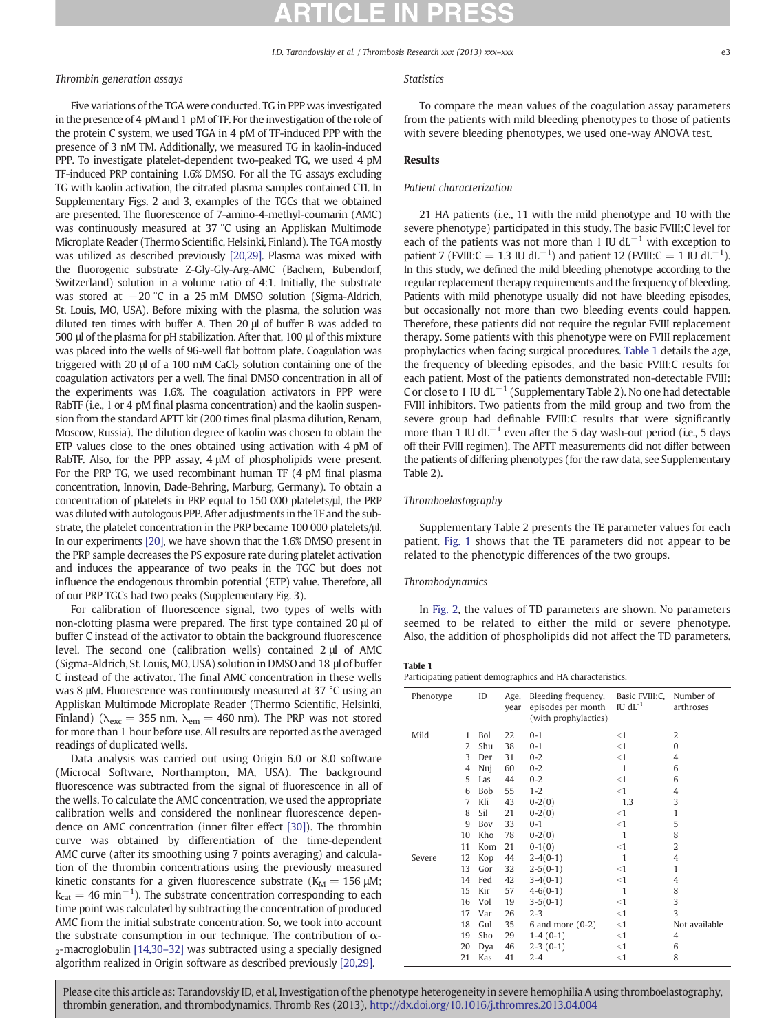I.D. Tarandovskiy et al. / Thrombosis Research xxx (2013) xxx–xxx  $e^3$ 

# Thrombin generation assays

Five variations of the TGA were conducted. TG in PPP was investigated in the presence of 4 pM and 1 pM of TF. For the investigation of the role of the protein C system, we used TGA in 4 pM of TF-induced PPP with the presence of 3 nM TM. Additionally, we measured TG in kaolin-induced PPP. To investigate platelet-dependent two-peaked TG, we used 4 pM TF-induced PRP containing 1.6% DMSO. For all the TG assays excluding TG with kaolin activation, the citrated plasma samples contained CTI. In Supplementary Figs. 2 and 3, examples of the TGCs that we obtained are presented. The fluorescence of 7-amino-4-methyl-coumarin (AMC) was continuously measured at 37 °C using an Appliskan Multimode Microplate Reader (Thermo Scientific, Helsinki, Finland). The TGA mostly was utilized as described previously [\[20,29\]](#page-5-0). Plasma was mixed with the fluorogenic substrate Z-Gly-Gly-Arg-AMC (Bachem, Bubendorf, Switzerland) solution in a volume ratio of 4:1. Initially, the substrate was stored at −20 °C in a 25 mM DMSO solution (Sigma-Aldrich, St. Louis, MO, USA). Before mixing with the plasma, the solution was diluted ten times with buffer A. Then 20 μl of buffer B was added to 500 μl of the plasma for pH stabilization. After that, 100 μl of this mixture was placed into the wells of 96-well flat bottom plate. Coagulation was triggered with 20  $\mu$ l of a 100 mM CaCl<sub>2</sub> solution containing one of the coagulation activators per a well. The final DMSO concentration in all of the experiments was 1.6%. The coagulation activators in PPP were RabTF (i.e., 1 or 4 pM final plasma concentration) and the kaolin suspension from the standard APTT kit (200 times final plasma dilution, Renam, Moscow, Russia). The dilution degree of kaolin was chosen to obtain the ETP values close to the ones obtained using activation with 4 pM of RabTF. Also, for the PPP assay, 4 μM of phospholipids were present. For the PRP TG, we used recombinant human TF (4 pM final plasma concentration, Innovin, Dade-Behring, Marburg, Germany). To obtain a concentration of platelets in PRP equal to 150 000 platelets/μl, the PRP was diluted with autologous PPP. After adjustments in the TF and the substrate, the platelet concentration in the PRP became 100 000 platelets/μl. In our experiments [\[20\],](#page-5-0) we have shown that the 1.6% DMSO present in the PRP sample decreases the PS exposure rate during platelet activation and induces the appearance of two peaks in the TGC but does not influence the endogenous thrombin potential (ETP) value. Therefore, all of our PRP TGCs had two peaks (Supplementary Fig. 3).

For calibration of fluorescence signal, two types of wells with non-clotting plasma were prepared. The first type contained 20 μl of buffer C instead of the activator to obtain the background fluorescence level. The second one (calibration wells) contained 2 μl of AMC (Sigma-Aldrich, St. Louis, MO, USA) solution in DMSO and 18 μl of buffer C instead of the activator. The final AMC concentration in these wells was 8 μM. Fluorescence was continuously measured at 37 °C using an Appliskan Multimode Microplate Reader (Thermo Scientific, Helsinki, Finland) ( $\lambda_{\text{exc}} = 355$  nm,  $\lambda_{\text{em}} = 460$  nm). The PRP was not stored for more than 1 hour before use. All results are reported as the averaged readings of duplicated wells.

Data analysis was carried out using Origin 6.0 or 8.0 software (Microcal Software, Northampton, MA, USA). The background fluorescence was subtracted from the signal of fluorescence in all of the wells. To calculate the AMC concentration, we used the appropriate calibration wells and considered the nonlinear fluorescence dependence on AMC concentration (inner filter effect [\[30\]](#page-6-0)). The thrombin curve was obtained by differentiation of the time-dependent AMC curve (after its smoothing using 7 points averaging) and calculation of the thrombin concentrations using the previously measured kinetic constants for a given fluorescence substrate ( $K_M = 156 \mu M$ ;  $k_{cat} = 46$  min<sup>-1</sup>). The substrate concentration corresponding to each time point was calculated by subtracting the concentration of produced AMC from the initial substrate concentration. So, we took into account the substrate consumption in our technique. The contribution of  $α-$ 2-macroglobulin [\[14,30](#page-5-0)–32] was subtracted using a specially designed algorithm realized in Origin software as described previously [\[20,29\]](#page-5-0).

# **Statistics**

To compare the mean values of the coagulation assay parameters from the patients with mild bleeding phenotypes to those of patients with severe bleeding phenotypes, we used one-way ANOVA test.

### Results

### Patient characterization

21 HA patients (i.e., 11 with the mild phenotype and 10 with the severe phenotype) participated in this study. The basic FVIII:C level for each of the patients was not more than 1 IU dL<sup> $-1$ </sup> with exception to patient 7 (FVIII: $C = 1.3$  IU dL<sup>-1</sup>) and patient 12 (FVIII: $C = 1$  IU dL<sup>-1</sup>). In this study, we defined the mild bleeding phenotype according to the regular replacement therapy requirements and the frequency of bleeding. Patients with mild phenotype usually did not have bleeding episodes, but occasionally not more than two bleeding events could happen. Therefore, these patients did not require the regular FVIII replacement therapy. Some patients with this phenotype were on FVIII replacement prophylactics when facing surgical procedures. Table 1 details the age, the frequency of bleeding episodes, and the basic FVIII:C results for each patient. Most of the patients demonstrated non-detectable FVIII: C or close to 1 IU dL<sup> $-1$ </sup> (Supplementary Table 2). No one had detectable FVIII inhibitors. Two patients from the mild group and two from the severe group had definable FVIII:C results that were significantly more than 1 IU dL<sup>-1</sup> even after the 5 day wash-out period (i.e., 5 days off their FVIII regimen). The APTT measurements did not differ between the patients of differing phenotypes (for the raw data, see Supplementary Table 2).

### Thromboelastography

Supplementary Table 2 presents the TE parameter values for each patient. [Fig. 1](#page-3-0) shows that the TE parameters did not appear to be related to the phenotypic differences of the two groups.

### Thrombodynamics

In [Fig. 2](#page-3-0), the values of TD parameters are shown. No parameters seemed to be related to either the mild or severe phenotype. Also, the addition of phospholipids did not affect the TD parameters.

#### Table 1

Participating patient demographics and HA characteristics.

| Phenotype |    | ID         | Age,<br>vear | Bleeding frequency,<br>episodes per month<br>(with prophylactics) | Basic FVIII:C, Number of<br>$IU$ $dL^{-1}$ | arthroses      |
|-----------|----|------------|--------------|-------------------------------------------------------------------|--------------------------------------------|----------------|
| Mild      | 1  | Bol        | 22           | $0 - 1$                                                           | < 1                                        | $\overline{2}$ |
|           | 2  | Shu        | 38           | $0 - 1$                                                           | $<$ 1                                      | $\mathbf{0}$   |
|           | 3  | Der        | 31           | $0 - 2$                                                           | < 1                                        | $\overline{4}$ |
|           | 4  | Nuj        | 60           | $0 - 2$                                                           | $\mathbf{1}$                               | 6              |
|           | 5  | Las        | 44           | $0 - 2$                                                           | < 1                                        | 6              |
|           | 6  | <b>Bob</b> | 55           | $1 - 2$                                                           | < 1                                        | $\overline{4}$ |
|           | 7  | Kli        | 43           | $0-2(0)$                                                          | 1.3                                        | 3              |
|           | 8  | Sil        | 21           | $0-2(0)$                                                          | <1                                         | 1              |
|           | 9  | Boy        | 33           | $0 - 1$                                                           | <1                                         | 5              |
|           | 10 | Kho        | 78           | $0-2(0)$                                                          | $\mathbf{1}$                               | 8              |
|           | 11 | Kom        | 21           | $0-1(0)$                                                          | <1                                         | 2              |
| Severe    | 12 | Kop        | 44           | $2-4(0-1)$                                                        | $\mathbf{1}$                               | $\overline{4}$ |
|           | 13 | Gor        | 32           | $2-5(0-1)$                                                        | <1                                         | 1              |
|           | 14 | Fed        | 42           | $3-4(0-1)$                                                        | $<$ 1                                      | 4              |
|           | 15 | Kir        | 57           | $4-6(0-1)$                                                        | $\mathbf{1}$                               | 8              |
|           | 16 | Vol        | 19           | $3-5(0-1)$                                                        | <1                                         | 3              |
|           | 17 | Var        | 26           | $2 - 3$                                                           | <1                                         | 3              |
|           | 18 | Gul        | 35           | 6 and more $(0-2)$                                                | <1                                         | Not available  |
|           | 19 | Sho        | 29           | $1-4(0-1)$                                                        | $<$ 1                                      | 4              |
|           | 20 | Dya        | 46           | $2-3(0-1)$                                                        | <1                                         | 6              |
|           | 21 | Kas        | 41           | $2 - 4$                                                           | $<$ 1                                      | 8              |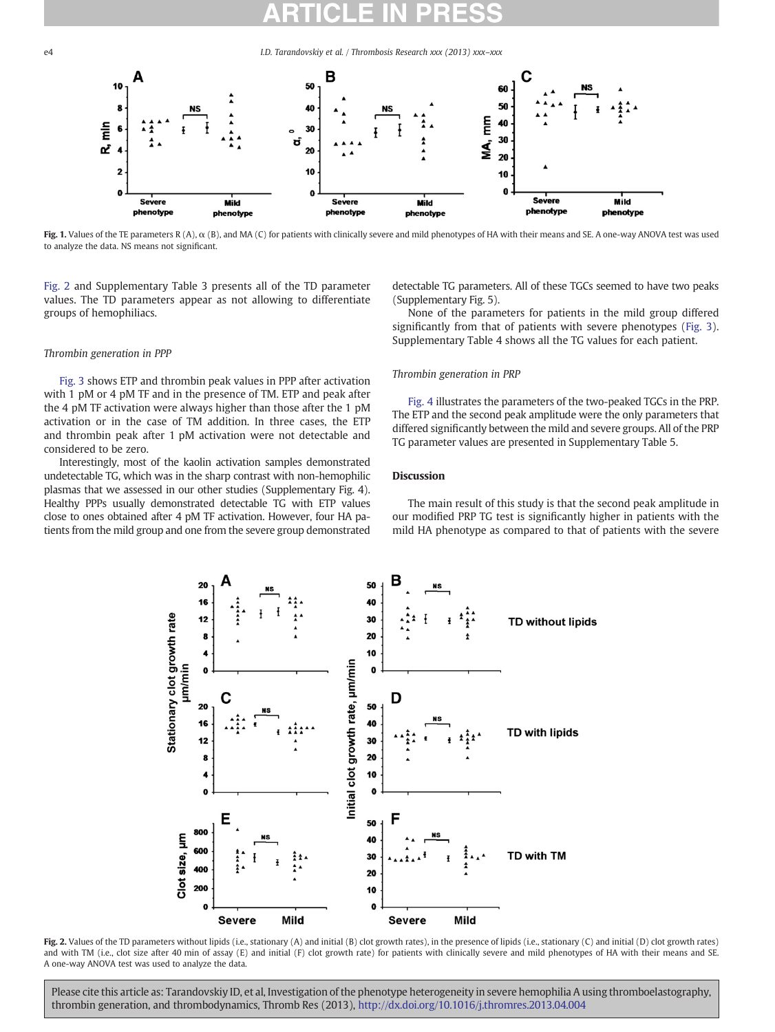#### <span id="page-3-0"></span>e4 I.D. Tarandovskiy et al. / Thrombosis Research xxx (2013) xxx–xxx



Fig. 1. Values of the TE parameters R (A), α (B), and MA (C) for patients with clinically severe and mild phenotypes of HA with their means and SE. A one-way ANOVA test was used to analyze the data. NS means not significant.

Fig. 2 and Supplementary Table 3 presents all of the TD parameter values. The TD parameters appear as not allowing to differentiate groups of hemophiliacs.

#### Thrombin generation in PPP

[Fig. 3](#page-4-0) shows ETP and thrombin peak values in PPP after activation with 1 pM or 4 pM TF and in the presence of TM. ETP and peak after the 4 pM TF activation were always higher than those after the 1 pM activation or in the case of TM addition. In three cases, the ETP and thrombin peak after 1 pM activation were not detectable and considered to be zero.

Interestingly, most of the kaolin activation samples demonstrated undetectable TG, which was in the sharp contrast with non-hemophilic plasmas that we assessed in our other studies (Supplementary Fig. 4). Healthy PPPs usually demonstrated detectable TG with ETP values close to ones obtained after 4 pM TF activation. However, four HA patients from the mild group and one from the severe group demonstrated detectable TG parameters. All of these TGCs seemed to have two peaks (Supplementary Fig. 5).

None of the parameters for patients in the mild group differed significantly from that of patients with severe phenotypes [\(Fig. 3](#page-4-0)). Supplementary Table 4 shows all the TG values for each patient.

### Thrombin generation in PRP

[Fig. 4](#page-4-0) illustrates the parameters of the two-peaked TGCs in the PRP. The ETP and the second peak amplitude were the only parameters that differed significantly between the mild and severe groups. All of the PRP TG parameter values are presented in Supplementary Table 5.

# Discussion

The main result of this study is that the second peak amplitude in our modified PRP TG test is significantly higher in patients with the mild HA phenotype as compared to that of patients with the severe



Fig. 2. Values of the TD parameters without lipids (i.e., stationary (A) and initial (B) clot growth rates), in the presence of lipids (i.e., stationary (C) and initial (D) clot growth rates) and with TM (i.e., clot size after 40 min of assay (E) and initial (F) clot growth rate) for patients with clinically severe and mild phenotypes of HA with their means and SE. A one-way ANOVA test was used to analyze the data.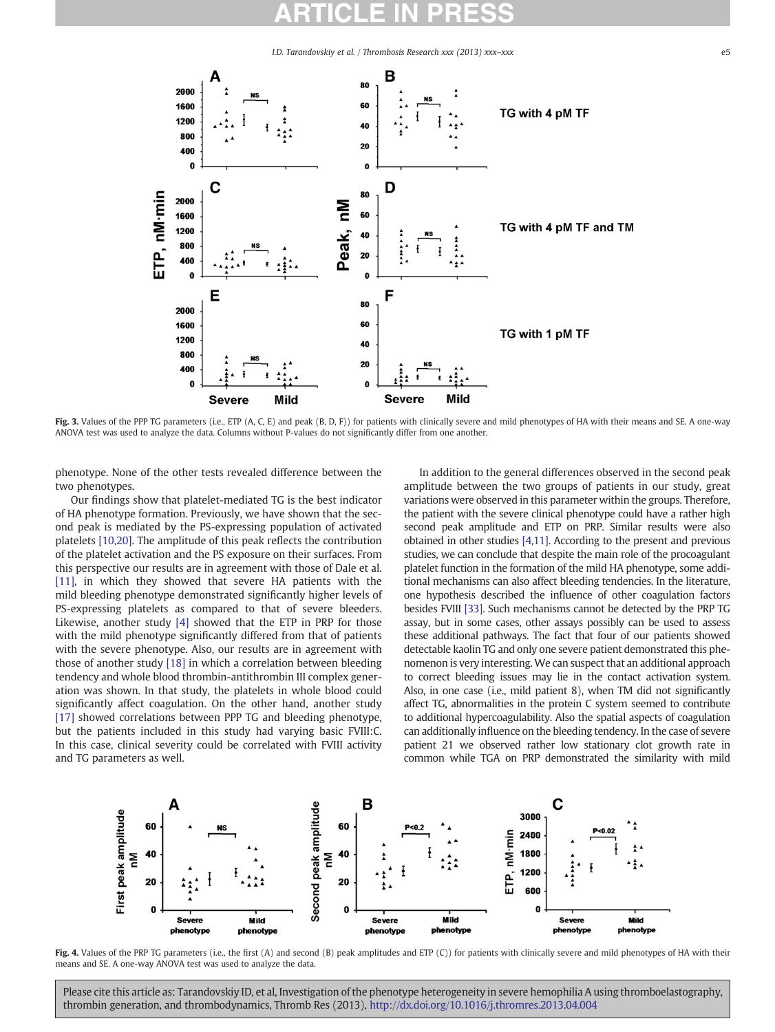I.D. Tarandovskiy et al. / Thrombosis Research xxx (2013) xxx–xxx e5

<span id="page-4-0"></span>

Fig. 3. Values of the PPP TG parameters (i.e., ETP (A, C, E) and peak (B, D, F)) for patients with clinically severe and mild phenotypes of HA with their means and SE. A one-way ANOVA test was used to analyze the data. Columns without P-values do not significantly differ from one another.

phenotype. None of the other tests revealed difference between the two phenotypes.

Our findings show that platelet-mediated TG is the best indicator of HA phenotype formation. Previously, we have shown that the second peak is mediated by the PS-expressing population of activated platelets [\[10,20\]](#page-5-0). The amplitude of this peak reflects the contribution of the platelet activation and the PS exposure on their surfaces. From this perspective our results are in agreement with those of Dale et al. [\[11\]](#page-5-0), in which they showed that severe HA patients with the mild bleeding phenotype demonstrated significantly higher levels of PS-expressing platelets as compared to that of severe bleeders. Likewise, another study [\[4\]](#page-5-0) showed that the ETP in PRP for those with the mild phenotype significantly differed from that of patients with the severe phenotype. Also, our results are in agreement with those of another study [\[18\]](#page-5-0) in which a correlation between bleeding tendency and whole blood thrombin-antithrombin III complex generation was shown. In that study, the platelets in whole blood could significantly affect coagulation. On the other hand, another study [\[17\]](#page-5-0) showed correlations between PPP TG and bleeding phenotype, but the patients included in this study had varying basic FVIII:C. In this case, clinical severity could be correlated with FVIII activity and TG parameters as well.

In addition to the general differences observed in the second peak amplitude between the two groups of patients in our study, great variations were observed in this parameter within the groups. Therefore, the patient with the severe clinical phenotype could have a rather high second peak amplitude and ETP on PRP. Similar results were also obtained in other studies [\[4,11\].](#page-5-0) According to the present and previous studies, we can conclude that despite the main role of the procoagulant platelet function in the formation of the mild HA phenotype, some additional mechanisms can also affect bleeding tendencies. In the literature, one hypothesis described the influence of other coagulation factors besides FVIII [\[33\]](#page-6-0). Such mechanisms cannot be detected by the PRP TG assay, but in some cases, other assays possibly can be used to assess these additional pathways. The fact that four of our patients showed detectable kaolin TG and only one severe patient demonstrated this phenomenon is very interesting. We can suspect that an additional approach to correct bleeding issues may lie in the contact activation system. Also, in one case (i.e., mild patient 8), when TM did not significantly affect TG, abnormalities in the protein C system seemed to contribute to additional hypercoagulability. Also the spatial aspects of coagulation can additionally influence on the bleeding tendency. In the case of severe patient 21 we observed rather low stationary clot growth rate in common while TGA on PRP demonstrated the similarity with mild



Fig. 4. Values of the PRP TG parameters (i.e., the first (A) and second (B) peak amplitudes and ETP (C)) for patients with clinically severe and mild phenotypes of HA with their means and SE. A one-way ANOVA test was used to analyze the data.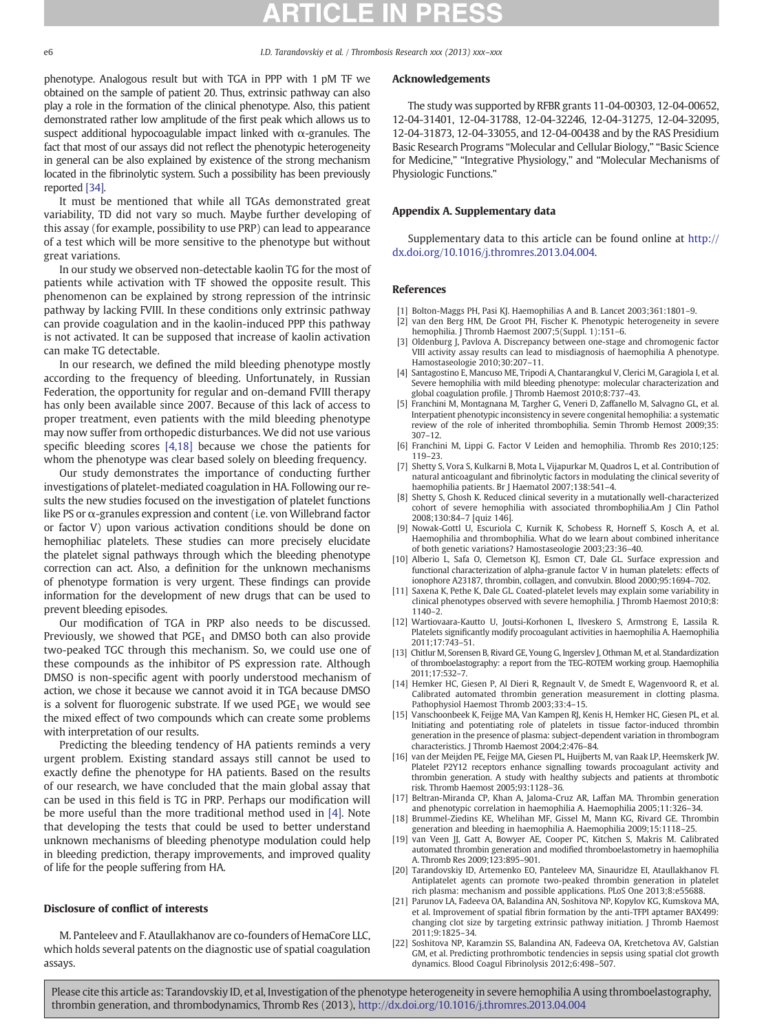<span id="page-5-0"></span>e6 I.D. Tarandovskiy et al. / Thrombosis Research xxx (2013) xxx–xxx

phenotype. Analogous result but with TGA in PPP with 1 pM TF we obtained on the sample of patient 20. Thus, extrinsic pathway can also play a role in the formation of the clinical phenotype. Also, this patient demonstrated rather low amplitude of the first peak which allows us to suspect additional hypocoagulable impact linked with  $\alpha$ -granules. The fact that most of our assays did not reflect the phenotypic heterogeneity in general can be also explained by existence of the strong mechanism located in the fibrinolytic system. Such a possibility has been previously reported [\[34\].](#page-6-0)

It must be mentioned that while all TGAs demonstrated great variability, TD did not vary so much. Maybe further developing of this assay (for example, possibility to use PRP) can lead to appearance of a test which will be more sensitive to the phenotype but without great variations.

In our study we observed non-detectable kaolin TG for the most of patients while activation with TF showed the opposite result. This phenomenon can be explained by strong repression of the intrinsic pathway by lacking FVIII. In these conditions only extrinsic pathway can provide coagulation and in the kaolin-induced PPP this pathway is not activated. It can be supposed that increase of kaolin activation can make TG detectable.

In our research, we defined the mild bleeding phenotype mostly according to the frequency of bleeding. Unfortunately, in Russian Federation, the opportunity for regular and on-demand FVIII therapy has only been available since 2007. Because of this lack of access to proper treatment, even patients with the mild bleeding phenotype may now suffer from orthopedic disturbances. We did not use various specific bleeding scores [4,18] because we chose the patients for whom the phenotype was clear based solely on bleeding frequency.

Our study demonstrates the importance of conducting further investigations of platelet-mediated coagulation in HA. Following our results the new studies focused on the investigation of platelet functions like PS or  $\alpha$ -granules expression and content (i.e. von Willebrand factor or factor V) upon various activation conditions should be done on hemophiliac platelets. These studies can more precisely elucidate the platelet signal pathways through which the bleeding phenotype correction can act. Also, a definition for the unknown mechanisms of phenotype formation is very urgent. These findings can provide information for the development of new drugs that can be used to prevent bleeding episodes.

Our modification of TGA in PRP also needs to be discussed. Previously, we showed that  $PGE<sub>1</sub>$  and DMSO both can also provide two-peaked TGC through this mechanism. So, we could use one of these compounds as the inhibitor of PS expression rate. Although DMSO is non-specific agent with poorly understood mechanism of action, we chose it because we cannot avoid it in TGA because DMSO is a solvent for fluorogenic substrate. If we used  $PGE<sub>1</sub>$  we would see the mixed effect of two compounds which can create some problems with interpretation of our results.

Predicting the bleeding tendency of HA patients reminds a very urgent problem. Existing standard assays still cannot be used to exactly define the phenotype for HA patients. Based on the results of our research, we have concluded that the main global assay that can be used in this field is TG in PRP. Perhaps our modification will be more useful than the more traditional method used in [4]. Note that developing the tests that could be used to better understand unknown mechanisms of bleeding phenotype modulation could help in bleeding prediction, therapy improvements, and improved quality of life for the people suffering from HA.

# Disclosure of conflict of interests

M. Panteleev and F. Ataullakhanov are co-founders of HemaCore LLC, which holds several patents on the diagnostic use of spatial coagulation assays.

# Acknowledgements

The study was supported by RFBR grants 11-04-00303, 12-04-00652, 12-04-31401, 12-04-31788, 12-04-32246, 12-04-31275, 12-04-32095, 12-04-31873, 12-04-33055, and 12-04-00438 and by the RAS Presidium Basic Research Programs "Molecular and Cellular Biology," "Basic Science for Medicine," "Integrative Physiology," and "Molecular Mechanisms of Physiologic Functions."

# Appendix A. Supplementary data

Supplementary data to this article can be found online at [http://](http://dx.doi.org/10.1016/j.thromres.2013.04.004) [dx.doi.org/10.1016/j.thromres.2013.04.004](http://dx.doi.org/10.1016/j.thromres.2013.04.004).

# References

- [1] Bolton-Maggs PH, Pasi KJ. Haemophilias A and B. Lancet 2003;361:1801–9.
- [2] van den Berg HM, De Groot PH, Fischer K. Phenotypic heterogeneity in severe hemophilia. J Thromb Haemost 2007;5(Suppl. 1):151-6.
- [3] Oldenburg J, Pavlova A. Discrepancy between one-stage and chromogenic factor VIII activity assay results can lead to misdiagnosis of haemophilia A phenotype. Hamostaseologie 2010;30:207–11.
- [4] Santagostino E, Mancuso ME, Tripodi A, Chantarangkul V, Clerici M, Garagiola I, et al. Severe hemophilia with mild bleeding phenotype: molecular characterization and global coagulation profile. J Thromb Haemost 2010;8:737–43.
- [5] Franchini M, Montagnana M, Targher G, Veneri D, Zaffanello M, Salvagno GL, et al. Interpatient phenotypic inconsistency in severe congenital hemophilia: a systematic review of the role of inherited thrombophilia. Semin Thromb Hemost 2009;35: 307–12.
- [6] Franchini M, Lippi G. Factor V Leiden and hemophilia. Thromb Res 2010;125: 119–23.
- [7] Shetty S, Vora S, Kulkarni B, Mota L, Vijapurkar M, Quadros L, et al. Contribution of natural anticoagulant and fibrinolytic factors in modulating the clinical severity of haemophilia patients. Br J Haematol 2007;138:541–4.
- [8] Shetty S, Ghosh K. Reduced clinical severity in a mutationally well-characterized cohort of severe hemophilia with associated thrombophilia.Am J Clin Pathol 2008;130:84–7 [quiz 146].
- [9] Nowak-Gottl U, Escuriola C, Kurnik K, Schobess R, Horneff S, Kosch A, et al. Haemophilia and thrombophilia. What do we learn about combined inheritance of both genetic variations? Hamostaseologie 2003;23:36–40.
- [10] Alberio L, Safa O, Clemetson KJ, Esmon CT, Dale GL. Surface expression and functional characterization of alpha-granule factor V in human platelets: effects of ionophore A23187, thrombin, collagen, and convulxin. Blood 2000;95:1694–702.
- [11] Saxena K, Pethe K, Dale GL. Coated-platelet levels may explain some variability in clinical phenotypes observed with severe hemophilia. J Thromb Haemost 2010;8: 1140–2.
- [12] Wartiovaara-Kautto U, Joutsi-Korhonen L, Ilveskero S, Armstrong E, Lassila R. Platelets significantly modify procoagulant activities in haemophilia A. Haemophilia 2011;17:743–51.
- [13] Chitlur M, Sorensen B, Rivard GE, Young G, Ingerslev J, Othman M, et al. Standardization of thromboelastography: a report from the TEG-ROTEM working group. Haemophilia 2011;17:532–7.
- [14] Hemker HC, Giesen P, Al Dieri R, Regnault V, de Smedt E, Wagenvoord R, et al. Calibrated automated thrombin generation measurement in clotting plasma. Pathophysiol Haemost Thromb 2003;33:4–15.
- [15] Vanschoonbeek K, Feijge MA, Van Kampen RJ, Kenis H, Hemker HC, Giesen PL, et al. Initiating and potentiating role of platelets in tissue factor-induced thrombin generation in the presence of plasma: subject-dependent variation in thrombogram characteristics. J Thromb Haemost 2004;2:476–84.
- [16] van der Meijden PE, Feijge MA, Giesen PL, Huijberts M, van Raak LP, Heemskerk JW. Platelet P2Y12 receptors enhance signalling towards procoagulant activity and thrombin generation. A study with healthy subjects and patients at thrombotic risk. Thromb Haemost 2005;93:1128–36.
- [17] Beltran-Miranda CP, Khan A, Jaloma-Cruz AR, Laffan MA. Thrombin generation and phenotypic correlation in haemophilia A. Haemophilia 2005;11:326–34.
- [18] Brummel-Ziedins KE, Whelihan MF, Gissel M, Mann KG, Rivard GE. Thrombin generation and bleeding in haemophilia A. Haemophilia 2009;15:1118–25.
- [19] van Veen JJ, Gatt A, Bowyer AE, Cooper PC, Kitchen S, Makris M. Calibrated automated thrombin generation and modified thromboelastometry in haemophilia A. Thromb Res 2009;123:895–901.
- [20] Tarandovskiy ID, Artemenko EO, Panteleev MA, Sinauridze EI, Ataullakhanov FI. Antiplatelet agents can promote two-peaked thrombin generation in platelet rich plasma: mechanism and possible applications. PLoS One 2013;8:e55688.
- [21] Parunov LA, Fadeeva OA, Balandina AN, Soshitova NP, Kopylov KG, Kumskova MA, et al. Improvement of spatial fibrin formation by the anti-TFPI aptamer BAX499: changing clot size by targeting extrinsic pathway initiation. J Thromb Haemost 2011;9:1825–34.
- [22] Soshitova NP, Karamzin SS, Balandina AN, Fadeeva OA, Kretchetova AV, Galstian GM, et al. Predicting prothrombotic tendencies in sepsis using spatial clot growth dynamics. Blood Coagul Fibrinolysis 2012;6:498–507.